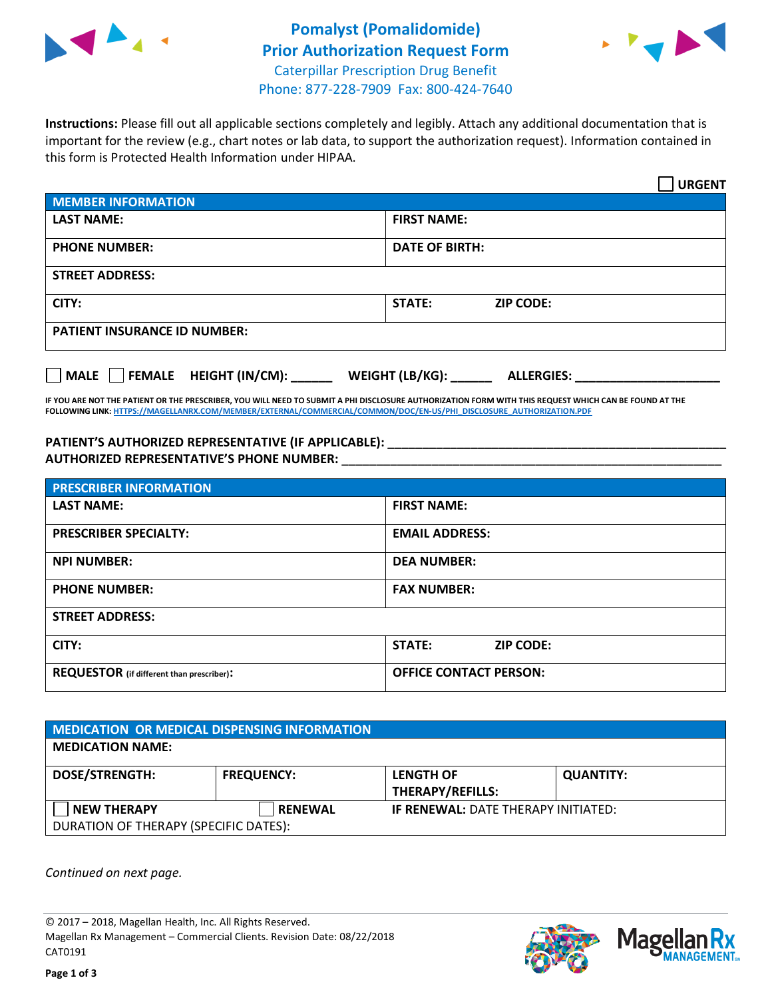



**Instructions:** Please fill out all applicable sections completely and legibly. Attach any additional documentation that is important for the review (e.g., chart notes or lab data, to support the authorization request). Information contained in this form is Protected Health Information under HIPAA.

|                                     | <b>URGENT</b>                        |  |
|-------------------------------------|--------------------------------------|--|
| <b>MEMBER INFORMATION</b>           |                                      |  |
| <b>LAST NAME:</b>                   | <b>FIRST NAME:</b>                   |  |
| <b>PHONE NUMBER:</b>                | <b>DATE OF BIRTH:</b>                |  |
| <b>STREET ADDRESS:</b>              |                                      |  |
| CITY:                               | STATE:<br><b>ZIP CODE:</b>           |  |
| <b>PATIENT INSURANCE ID NUMBER:</b> |                                      |  |
| FEMALE HEIGHT (IN/CM):<br>    MALE  | WEIGHT (LB/KG):<br><b>ALLERGIES:</b> |  |

**IF YOU ARE NOT THE PATIENT OR THE PRESCRIBER, YOU WILL NEED TO SUBMIT A PHI DISCLOSURE AUTHORIZATION FORM WITH THIS REQUEST WHICH CAN BE FOUND AT THE FOLLOWING LINK[: HTTPS://MAGELLANRX.COM/MEMBER/EXTERNAL/COMMERCIAL/COMMON/DOC/EN-US/PHI\\_DISCLOSURE\\_AUTHORIZATION.PDF](https://magellanrx.com/member/external/commercial/common/doc/en-us/PHI_Disclosure_Authorization.pdf)**

**PATIENT'S AUTHORIZED REPRESENTATIVE (IF APPLICABLE): \_\_\_\_\_\_\_\_\_\_\_\_\_\_\_\_\_\_\_\_\_\_\_\_\_\_\_\_\_\_\_\_\_\_\_\_\_\_\_\_\_\_\_\_\_\_\_\_\_ AUTHORIZED REPRESENTATIVE'S PHONE NUMBER:** \_\_\_\_\_\_\_\_\_\_\_\_\_\_\_\_\_\_\_\_\_\_\_\_\_\_\_\_\_\_\_\_\_\_\_\_\_\_\_\_\_\_\_\_\_\_\_\_\_\_\_\_\_\_\_

| <b>PRESCRIBER INFORMATION</b>             |                               |  |  |  |
|-------------------------------------------|-------------------------------|--|--|--|
| <b>LAST NAME:</b>                         | <b>FIRST NAME:</b>            |  |  |  |
| <b>PRESCRIBER SPECIALTY:</b>              | <b>EMAIL ADDRESS:</b>         |  |  |  |
| <b>NPI NUMBER:</b>                        | <b>DEA NUMBER:</b>            |  |  |  |
| <b>PHONE NUMBER:</b>                      | <b>FAX NUMBER:</b>            |  |  |  |
| <b>STREET ADDRESS:</b>                    |                               |  |  |  |
| CITY:                                     | STATE:<br><b>ZIP CODE:</b>    |  |  |  |
| REQUESTOR (if different than prescriber): | <b>OFFICE CONTACT PERSON:</b> |  |  |  |

| MEDICATION OR MEDICAL DISPENSING INFORMATION |                   |                                             |                  |  |  |
|----------------------------------------------|-------------------|---------------------------------------------|------------------|--|--|
| <b>MEDICATION NAME:</b>                      |                   |                                             |                  |  |  |
| <b>DOSE/STRENGTH:</b>                        | <b>FREQUENCY:</b> | <b>LENGTH OF</b><br><b>THERAPY/REFILLS:</b> | <b>QUANTITY:</b> |  |  |
| <b>NEW THERAPY</b>                           | <b>RENEWAL</b>    | <b>IF RENEWAL: DATE THERAPY INITIATED:</b>  |                  |  |  |
| DURATION OF THERAPY (SPECIFIC DATES):        |                   |                                             |                  |  |  |

*Continued on next page.*

© 2017 – 2018, Magellan Health, Inc. All Rights Reserved. Magellan Rx Management – Commercial Clients. Revision Date: 08/22/2018 CAT0191



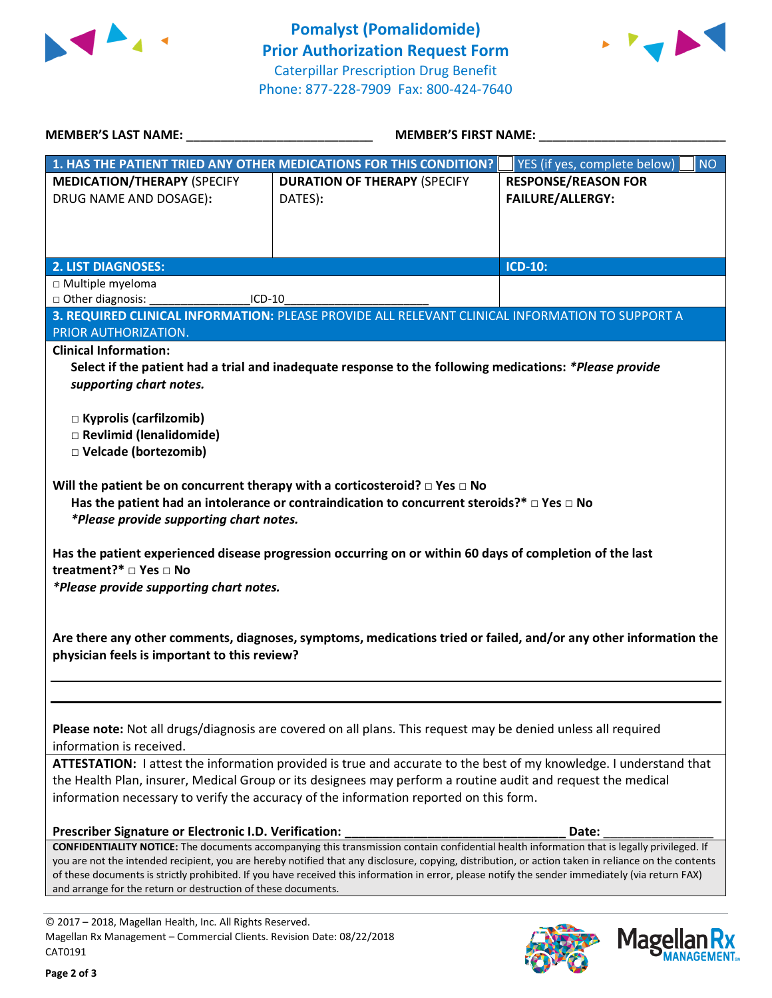



**MANAGEMENT**<sub>SM</sub>

| <b>MEMBER'S FIRST NAME:</b><br><b>MEMBER'S LAST NAME:</b>                                                                                                               |                                                                                                                                                                                                                                                                                                                                                                                                                                                        |                                                       |
|-------------------------------------------------------------------------------------------------------------------------------------------------------------------------|--------------------------------------------------------------------------------------------------------------------------------------------------------------------------------------------------------------------------------------------------------------------------------------------------------------------------------------------------------------------------------------------------------------------------------------------------------|-------------------------------------------------------|
|                                                                                                                                                                         | 1. HAS THE PATIENT TRIED ANY OTHER MEDICATIONS FOR THIS CONDITION?                                                                                                                                                                                                                                                                                                                                                                                     | YES (if yes, complete below)<br><b>NO</b>             |
| <b>MEDICATION/THERAPY (SPECIFY</b><br>DRUG NAME AND DOSAGE):                                                                                                            | <b>DURATION OF THERAPY (SPECIFY</b><br>DATES):                                                                                                                                                                                                                                                                                                                                                                                                         | <b>RESPONSE/REASON FOR</b><br><b>FAILURE/ALLERGY:</b> |
| <b>2. LIST DIAGNOSES:</b>                                                                                                                                               |                                                                                                                                                                                                                                                                                                                                                                                                                                                        | <b>ICD-10:</b>                                        |
| □ Multiple myeloma                                                                                                                                                      |                                                                                                                                                                                                                                                                                                                                                                                                                                                        |                                                       |
| □ Other diagnosis:<br>$ICD-10$                                                                                                                                          |                                                                                                                                                                                                                                                                                                                                                                                                                                                        |                                                       |
| PRIOR AUTHORIZATION.<br><b>Clinical Information:</b><br>supporting chart notes.<br>$\Box$ Kyprolis (carfilzomib)<br>□ Revlimid (lenalidomide)<br>□ Velcade (bortezomib) | 3. REQUIRED CLINICAL INFORMATION: PLEASE PROVIDE ALL RELEVANT CLINICAL INFORMATION TO SUPPORT A<br>Select if the patient had a trial and inadequate response to the following medications: *Please provide                                                                                                                                                                                                                                             |                                                       |
| *Please provide supporting chart notes.<br>treatment?* □ Yes □ No<br>*Please provide supporting chart notes.                                                            | Has the patient had an intolerance or contraindication to concurrent steroids?* $\Box$ Yes $\Box$ No<br>Has the patient experienced disease progression occurring on or within 60 days of completion of the last                                                                                                                                                                                                                                       |                                                       |
| physician feels is important to this review?                                                                                                                            | Are there any other comments, diagnoses, symptoms, medications tried or failed, and/or any other information the                                                                                                                                                                                                                                                                                                                                       |                                                       |
| information is received.                                                                                                                                                | Please note: Not all drugs/diagnosis are covered on all plans. This request may be denied unless all required                                                                                                                                                                                                                                                                                                                                          |                                                       |
|                                                                                                                                                                         | ATTESTATION: I attest the information provided is true and accurate to the best of my knowledge. I understand that<br>the Health Plan, insurer, Medical Group or its designees may perform a routine audit and request the medical<br>information necessary to verify the accuracy of the information reported on this form.                                                                                                                           |                                                       |
| Prescriber Signature or Electronic I.D. Verification:                                                                                                                   |                                                                                                                                                                                                                                                                                                                                                                                                                                                        | Date:                                                 |
| and arrange for the return or destruction of these documents.                                                                                                           | CONFIDENTIALITY NOTICE: The documents accompanying this transmission contain confidential health information that is legally privileged. If<br>you are not the intended recipient, you are hereby notified that any disclosure, copying, distribution, or action taken in reliance on the contents<br>of these documents is strictly prohibited. If you have received this information in error, please notify the sender immediately (via return FAX) |                                                       |
| © 2017 - 2018, Magellan Health, Inc. All Rights Reserved.<br>Magellan Rx Management - Commercial Clients. Revision Date: 08/22/2018<br>CAT0191                          |                                                                                                                                                                                                                                                                                                                                                                                                                                                        | <b>Magellan</b>                                       |

CAT0191